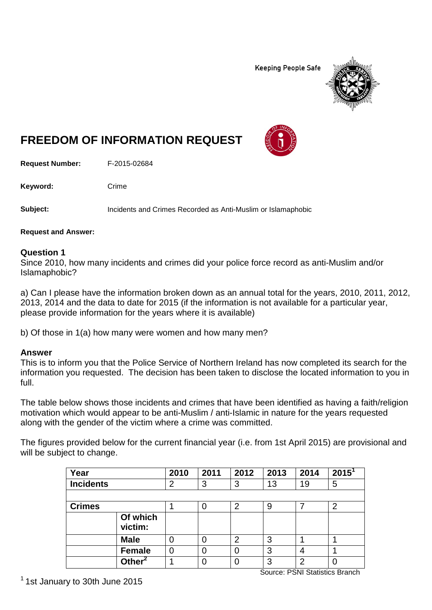**Keeping People Safe** 



# **FREEDOM OF INFORMATION REQUEST**

**Request Number:** F-2015-02684

Keyword: Crime

**Subject:** Incidents and Crimes Recorded as Anti-Muslim or Islamaphobic

**Request and Answer:**

#### **Question 1**

Since 2010, how many incidents and crimes did your police force record as anti-Muslim and/or Islamaphobic?

a) Can I please have the information broken down as an annual total for the years, 2010, 2011, 2012, 2013, 2014 and the data to date for 2015 (if the information is not available for a particular year, please provide information for the years where it is available)

b) Of those in 1(a) how many were women and how many men?

## **Answer**

This is to inform you that the Police Service of Northern Ireland has now completed its search for the information you requested. The decision has been taken to disclose the located information to you in full.

The table below shows those incidents and crimes that have been identified as having a faith/religion motivation which would appear to be anti-Muslim / anti-Islamic in nature for the years requested along with the gender of the victim where a crime was committed.

The figures provided below for the current financial year (i.e. from 1st April 2015) are provisional and will be subject to change.

| Year             |                       | 2010 | 2011 | 2012           | 2013 | 2014 | 2015 <sup>1</sup> |
|------------------|-----------------------|------|------|----------------|------|------|-------------------|
| <b>Incidents</b> |                       | 2    | 3    | 3              | 13   | 19   | 5                 |
|                  |                       |      |      |                |      |      |                   |
| <b>Crimes</b>    |                       |      | 0    | $\overline{2}$ | 9    |      | $\overline{2}$    |
|                  | Of which<br>victim:   |      |      |                |      |      |                   |
|                  | <b>Male</b>           |      | 0    | 2              | 3    |      |                   |
|                  | <b>Female</b>         | 0    | 0    | 0              | 3    | 4    |                   |
|                  | Other $^{\mathsf{2}}$ |      | 0    | 0              | 3    | ⌒    |                   |

Source: PSNI Statistics Branch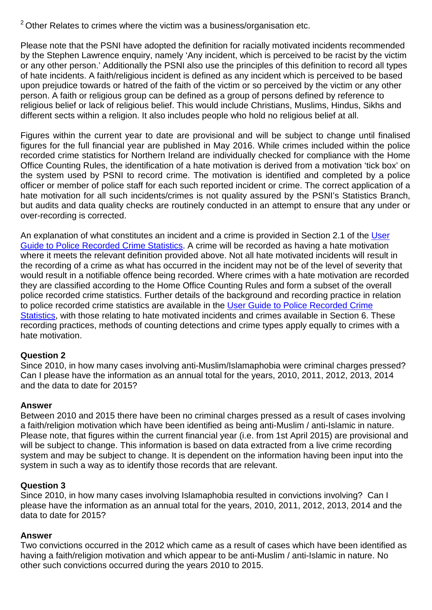$2$  Other Relates to crimes where the victim was a business/organisation etc.

Please note that the PSNI have adopted the definition for racially motivated incidents recommended by the Stephen Lawrence enquiry, namely 'Any incident, which is perceived to be racist by the victim or any other person.' Additionally the PSNI also use the principles of this definition to record all types of hate incidents. A faith/religious incident is defined as any incident which is perceived to be based upon prejudice towards or hatred of the faith of the victim or so perceived by the victim or any other person. A faith or religious group can be defined as a group of persons defined by reference to religious belief or lack of religious belief. This would include Christians, Muslims, Hindus, Sikhs and different sects within a religion. It also includes people who hold no religious belief at all.

Figures within the current year to date are provisional and will be subject to change until finalised figures for the full financial year are published in May 2016. While crimes included within the police recorded crime statistics for Northern Ireland are individually checked for compliance with the Home Office Counting Rules, the identification of a hate motivation is derived from a motivation 'tick box' on the system used by PSNI to record crime. The motivation is identified and completed by a police officer or member of police staff for each such reported incident or crime. The correct application of a hate motivation for all such incidents/crimes is not quality assured by the PSNI's Statistics Branch, but audits and data quality checks are routinely conducted in an attempt to ensure that any under or over-recording is corrected.

An explanation of what constitutes an incident and a crime is provided in Section 2.1 of the User [Guide to Police Recorded Crime Statistics.](http://www.psni.police.uk/user_guide.pdf) A crime will be recorded as having a hate motivation where it meets the relevant definition provided above. Not all hate motivated incidents will result in the recording of a crime as what has occurred in the incident may not be of the level of severity that would result in a notifiable offence being recorded. Where crimes with a hate motivation are recorded they are classified according to the Home Office Counting Rules and form a subset of the overall police recorded crime statistics. Further details of the background and recording practice in relation to police recorded crime statistics are available in the [User Guide to Police Recorded Crime](http://www.psni.police.uk/user_guide.pdf)  [Statistics,](http://www.psni.police.uk/user_guide.pdf) with those relating to hate motivated incidents and crimes available in Section 6. These recording practices, methods of counting detections and crime types apply equally to crimes with a hate motivation.

## **Question 2**

Since 2010, in how many cases involving anti-Muslim/Islamaphobia were criminal charges pressed? Can I please have the information as an annual total for the years, 2010, 2011, 2012, 2013, 2014 and the data to date for 2015?

## **Answer**

Between 2010 and 2015 there have been no criminal charges pressed as a result of cases involving a faith/religion motivation which have been identified as being anti-Muslim / anti-Islamic in nature. Please note, that figures within the current financial year (i.e. from 1st April 2015) are provisional and will be subject to change. This information is based on data extracted from a live crime recording system and may be subject to change. It is dependent on the information having been input into the system in such a way as to identify those records that are relevant.

## **Question 3**

Since 2010, in how many cases involving Islamaphobia resulted in convictions involving? Can I please have the information as an annual total for the years, 2010, 2011, 2012, 2013, 2014 and the data to date for 2015?

## **Answer**

Two convictions occurred in the 2012 which came as a result of cases which have been identified as having a faith/religion motivation and which appear to be anti-Muslim / anti-Islamic in nature. No other such convictions occurred during the years 2010 to 2015.